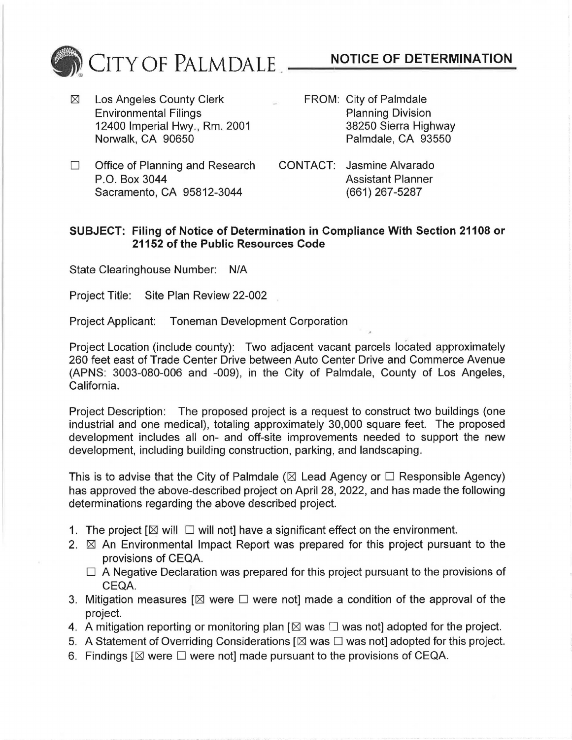

- $\boxtimes$  Los Angeles County Clerk FROM: City of Palmdale Environmental Filings<br>
12400 Imperial Hwy., Rm. 2001 12400 Sierra Highway 12400 Imperial Hwy., Rm. 2001<br>Norwalk, CA 90650
- Palmdale, CA 93550
- $\Box$  Office of Planning and Research CONTACT: Jasmine Alvarado P.O. Box 3044<br>
Sacramento, CA 95812-3044 (661) 267-5287 Sacramento, CA 95812-3044
- 

## **SUBJECT: Filing of Notice of Determination in Compliance With Section 21108 or 21152 of the Public Resources Code**

State Clearinghouse Number: N/A

Project Title: Site Plan Review 22-002

Project Applicant: Toneman Development Corporation

Project Location (include county): Two adjacent vacant parcels located approximately 260 feet east of Trade Center Drive between Auto Center Drive and Commerce Avenue (APNS: 3003-080-006 and -009), in the City of Palmdale, County of Los Angeles, California.

Project Description: The proposed project is a request to construct two buildings (one industrial and one medical), totaling approximately 30,000 square feet. The proposed development includes all on- and off-site improvements needed to support the new development, including building construction, parking, and landscaping.

This is to advise that the City of Palmdale ( $\boxtimes$  Lead Agency or  $\Box$  Responsible Agency) has approved the above-described project on April 28, 2022, and has made the following determinations regarding the above described project.

- 1. The project  $[\boxtimes$  will  $\square$  will not] have a significant effect on the environment.
- 2.  $\boxtimes$  An Environmental Impact Report was prepared for this project pursuant to the provisions of CEQA.
	- $\Box$  A Negative Declaration was prepared for this project pursuant to the provisions of CEQA.
- 3. Mitigation measures [ $\boxtimes$  were  $\Box$  were not] made a condition of the approval of the project.
- 4. A mitigation reporting or monitoring plan  $[\boxtimes$  was  $\square$  was not] adopted for the project.
- 5. A Statement of Overriding Considerations  $[\boxtimes$  was  $\square$  was not] adopted for this project.
- 6. Findings  $\boxtimes$  were  $\square$  were not] made pursuant to the provisions of CEQA.